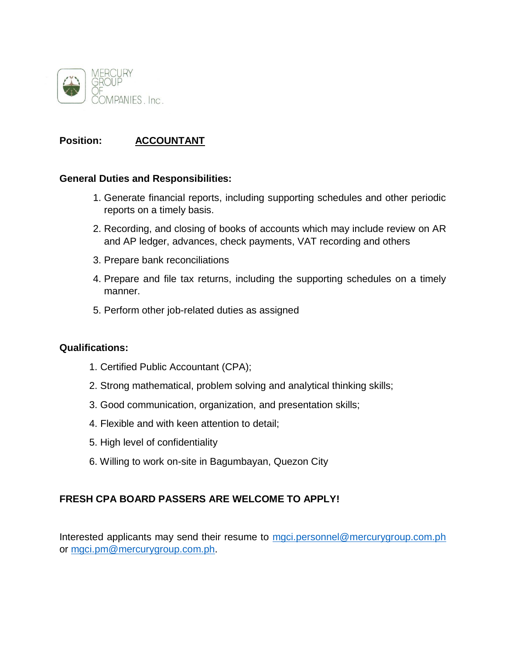

## **Position: ACCOUNTANT**

#### **General Duties and Responsibilities:**

- 1. Generate financial reports, including supporting schedules and other periodic reports on a timely basis.
- 2. Recording, and closing of books of accounts which may include review on AR and AP ledger, advances, check payments, VAT recording and others
- 3. Prepare bank reconciliations
- 4. Prepare and file tax returns, including the supporting schedules on a timely manner.
- 5. Perform other job-related duties as assigned

#### **Qualifications:**

- 1. Certified Public Accountant (CPA);
- 2. Strong mathematical, problem solving and analytical thinking skills;
- 3. Good communication, organization, and presentation skills;
- 4. Flexible and with keen attention to detail;
- 5. High level of confidentiality
- 6. Willing to work on-site in Bagumbayan, Quezon City

### **FRESH CPA BOARD PASSERS ARE WELCOME TO APPLY!**

Interested applicants may send their resume to [mgci.personnel@mercurygroup.com.ph](mailto:mgci.personnel@mercurygroup.com.ph) or [mgci.pm@mercurygroup.com.ph.](mailto:mgci.pm@mercurygroup.com.ph)